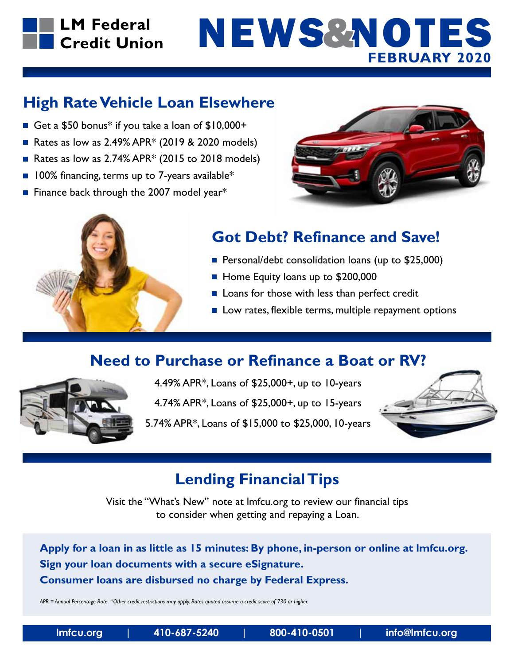## **LM Federal** Credit Union

# **FEBRUARY 2020** NEWS&NOTES

### **High Rate Vehicle Loan Elsewhere**

- Get a  $$50$  bonus<sup>\*</sup> if you take a loan of  $$10,000+$
- Rates as low as  $2.49\%$  APR\* (2019 & 2020 models)
- Rates as low as  $2.74\%$  APR $*$  (2015 to 2018 models)
- $\blacksquare$  100% financing, terms up to 7-years available\*
- **Finance back through the 2007 model year\***





# **Got Debt? Refinance and Save!**

- **Personal/debt consolidation loans (up to \$25,000)**
- Home Equity loans up to \$200,000
- $\blacksquare$  Loans for those with less than perfect credit
- $\blacksquare$  Low rates, flexible terms, multiple repayment options

### **Need to Purchase or Refinance a Boat or RV?**



4.49% APR\*, Loans of \$25,000+, up to 10-years

4.74% APR\*, Loans of \$25,000+, up to 15-years

5.74% APR\*, Loans of \$15,000 to \$25,000, 10-years



# **Lending Financial Tips**

Visit the "What's New" note at lmfcu.org to review our financial tips to consider when getting and repaying a Loan.

**Apply for a loan in as little as 15 minutes: By phone, in-person or online at lmfcu.org. Sign your loan documents with a secure eSignature. Consumer loans are disbursed no charge by Federal Express.**

*APR = Annual Percentage Rate \*Other credit restrictions may apply. Rates quoted assume a credit score of 730 or higher.*